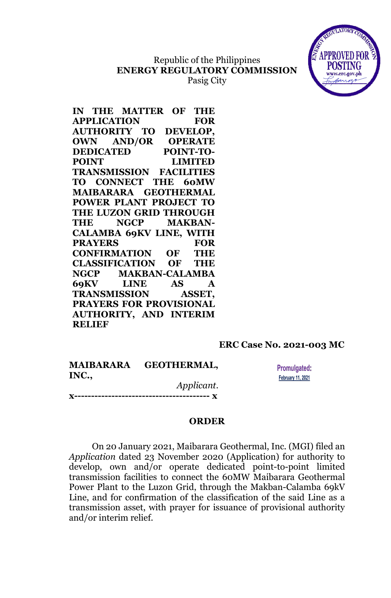## Republic of the Philippines **ENERGY REGULATORY COMMISSION** Pasig City



**IN THE MATTER OF THE APPLICATION FOR AUTHORITY TO DEVELOP, OWN AND/OR OPERATE DEDICATED POINT-TO-POINT LIMITED TRANSMISSION FACILITIES TO CONNECT THE 60MW MAIBARARA GEOTHERMAL POWER PLANT PROJECT TO THE LUZON GRID THROUGH THE NGCP MAKBAN-CALAMBA 69KV LINE, WITH PRAYERS FOR CONFIRMATION OF THE CLASSIFICATION OF THE NGCP MAKBAN-CALAMBA 69KV LINE AS A TRANSMISSION ASSET, PRAYERS FOR PROVISIONAL AUTHORITY, AND INTERIM RELIEF**

## **ERC Case No. 2021-003 MC**

**MAIBARARA GEOTHERMAL, INC.,** *Applicant*.

**x---------------------------------------- x**

**Promulgated: February 11, 2021** 

## **ORDER**

On 20 January 2021, Maibarara Geothermal, Inc. (MGI) filed an *Application* dated 23 November 2020 (Application) for authority to develop, own and/or operate dedicated point-to-point limited transmission facilities to connect the 60MW Maibarara Geothermal Power Plant to the Luzon Grid, through the Makban-Calamba 69kV Line, and for confirmation of the classification of the said Line as a transmission asset, with prayer for issuance of provisional authority and/or interim relief.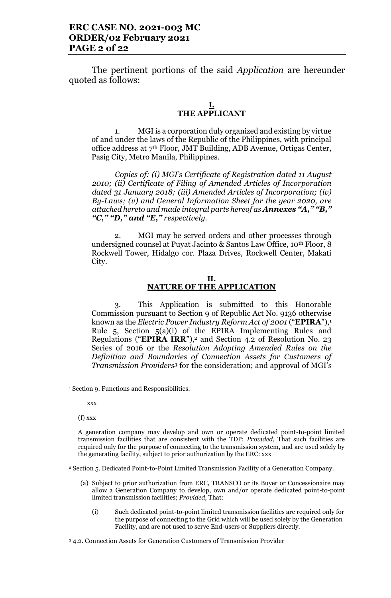The pertinent portions of the said *Application* are hereunder quoted as follows:

### **I. THE APPLICANT**

1. MGI is a corporation duly organized and existing by virtue of and under the laws of the Republic of the Philippines, with principal office address at 7th Floor, JMT Building, ADB Avenue, Ortigas Center, Pasig City, Metro Manila, Philippines.

*Copies of: (i) MGI's Certificate of Registration dated 11 August 2010; (ii) Certificate of Filing of Amended Articles of Incorporation dated 31 January 2018; (iii) Amended Articles of Incorporation; (iv) By-Laws; (v) and General Information Sheet for the year 2020, are attached hereto and made integral parts hereof as Annexes "A," "B," "C," "D," and "E," respectively.* 

2. MGI may be served orders and other processes through undersigned counsel at Puyat Jacinto & Santos Law Office, 10<sup>th</sup> Floor, 8 Rockwell Tower, Hidalgo cor. Plaza Drives, Rockwell Center, Makati City.

### **II. NATURE OF THE APPLICATION**

3. This Application is submitted to this Honorable Commission pursuant to Section 9 of Republic Act No. 9136 otherwise known as the *Electric Power Industry Reform Act of 2001* ("**EPIRA**"),<sup>1</sup> Rule 5, Section 5(a)(i) of the EPIRA Implementing Rules and Regulations ("**EPIRA IRR**"), <sup>2</sup> and Section 4.2 of Resolution No. 23 Series of 2016 or the *Resolution Adopting Amended Rules on the Definition and Boundaries of Connection Assets for Customers of Transmission Providers<sup>3</sup>* for the consideration; and approval of MGI's

xxx

l

(f) xxx

<sup>2</sup> Section 5. Dedicated Point-to-Point Limited Transmission Facility of a Generation Company.

- (a) Subject to prior authorization from ERC, TRANSCO or its Buyer or Concessionaire may allow a Generation Company to develop, own and/or operate dedicated point-to-point limited transmission facilities; *Provided,* That:
	- (i) Such dedicated point-to-point limited transmission facilities are required only for the purpose of connecting to the Grid which will be used solely by the Generation Facility, and are not used to serve End-users or Suppliers directly.

<sup>3</sup> 4.2. Connection Assets for Generation Customers of Transmission Provider

<sup>&</sup>lt;sup>1</sup> Section 9. Functions and Responsibilities.

A generation company may develop and own or operate dedicated point-to-point limited transmission facilities that are consistent with the TDP: *Provided,* That such facilities are required only for the purpose of connecting to the transmission system, and are used solely by the generating facility, subject to prior authorization by the ERC: xxx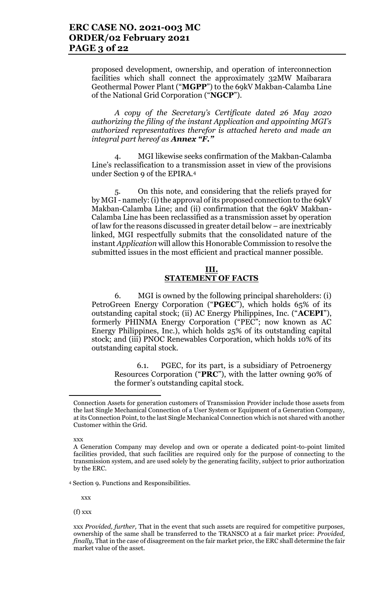proposed development, ownership, and operation of interconnection facilities which shall connect the approximately 32MW Maibarara Geothermal Power Plant ("**MGPP**") to the 69kV Makban-Calamba Line of the National Grid Corporation ("**NGCP**").

*A copy of the Secretary's Certificate dated 26 May 2020 authorizing the filing of the instant Application and appointing MGI's authorized representatives therefor is attached hereto and made an integral part hereof as Annex "F."*

4. MGI likewise seeks confirmation of the Makban-Calamba Line's reclassification to a transmission asset in view of the provisions under Section 9 of the EPIRA.<sup>4</sup>

5. On this note, and considering that the reliefs prayed for by MGI - namely:(i) the approval of its proposed connection to the 69kV Makban-Calamba Line; and (ii) confirmation that the 69kV Makban-Calamba Line has been reclassified as a transmission asset by operation of law for the reasons discussed in greater detail below – are inextricably linked, MGI respectfully submits that the consolidated nature of the instant *Application* will allow this Honorable Commission to resolve the submitted issues in the most efficient and practical manner possible.

### **III. STATEMENT OF FACTS**

6. MGI is owned by the following principal shareholders: (i) PetroGreen Energy Corporation ("**PGEC**"), which holds 65% of its outstanding capital stock; (ii) AC Energy Philippines, Inc. ("**ACEPI**"), formerly PHINMA Energy Corporation ("PEC"; now known as AC Energy Philippines, Inc.), which holds 25% of its outstanding capital stock; and (iii) PNOC Renewables Corporation, which holds 10% of its outstanding capital stock.

6.1. PGEC, for its part, is a subsidiary of Petroenergy Resources Corporation ("**PRC**"), with the latter owning 90% of the former's outstanding capital stock.

xxx

<sup>4</sup> Section 9. Functions and Responsibilities.

xxx

(f) xxx

Connection Assets for generation customers of Transmission Provider include those assets from the last Single Mechanical Connection of a User System or Equipment of a Generation Company, at its Connection Point, to the last Single Mechanical Connection which is not shared with another Customer within the Grid.

A Generation Company may develop and own or operate a dedicated point-to-point limited facilities provided, that such facilities are required only for the purpose of connecting to the transmission system, and are used solely by the generating facility, subject to prior authorization by the ERC.

xxx *Provided, further,* That in the event that such assets are required for competitive purposes, ownership of the same shall be transferred to the TRANSCO at a fair market price: *Provided, finally,* That in the case of disagreement on the fair market price, the ERC shall determine the fair market value of the asset.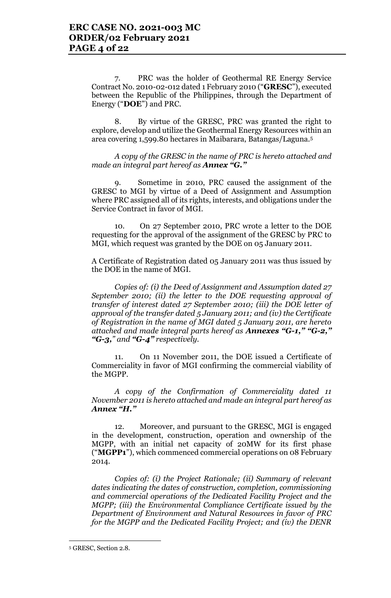7. PRC was the holder of Geothermal RE Energy Service Contract No. 2010-02-012 dated 1 February 2010 ("**GRESC**"), executed between the Republic of the Philippines, through the Department of Energy ("**DOE**") and PRC.

8. By virtue of the GRESC, PRC was granted the right to explore, develop and utilize the Geothermal Energy Resources within an area covering 1,599.80 hectares in Maibarara, Batangas/Laguna.<sup>5</sup>

*A copy of the GRESC in the name of PRC is hereto attached and made an integral part hereof as Annex "G."*

9. Sometime in 2010, PRC caused the assignment of the GRESC to MGI by virtue of a Deed of Assignment and Assumption where PRC assigned all of its rights, interests, and obligations under the Service Contract in favor of MGI.

10. On 27 September 2010, PRC wrote a letter to the DOE requesting for the approval of the assignment of the GRESC by PRC to MGI, which request was granted by the DOE on 05 January 2011.

A Certificate of Registration dated 05 January 2011 was thus issued by the DOE in the name of MGI.

*Copies of: (i) the Deed of Assignment and Assumption dated 27 September 2010; (ii) the letter to the DOE requesting approval of transfer of interest dated 27 September 2010; (iii) the DOE letter of approval of the transfer dated 5 January 2011; and (iv) the Certificate of Registration in the name of MGI dated 5 January 2011, are hereto attached and made integral parts hereof as Annexes "G-1," "G-2," "G-3," and "G-4" respectively.* 

11. On 11 November 2011, the DOE issued a Certificate of Commerciality in favor of MGI confirming the commercial viability of the MGPP.

*A copy of the Confirmation of Commerciality dated 11 November 2011 is hereto attached and made an integral part hereof as Annex "H."*

12. Moreover, and pursuant to the GRESC, MGI is engaged in the development, construction, operation and ownership of the MGPP, with an initial net capacity of 20MW for its first phase ("**MGPP1**"), which commenced commercial operations on 08 February 2014.

*Copies of: (i) the Project Rationale; (ii) Summary of relevant dates indicating the dates of construction, completion, commissioning and commercial operations of the Dedicated Facility Project and the MGPP; (iii) the Environmental Compliance Certificate issued by the Department of Environment and Natural Resources in favor of PRC for the MGPP and the Dedicated Facility Project; and (iv) the DENR* 

l

<sup>5</sup> GRESC, Section 2.8.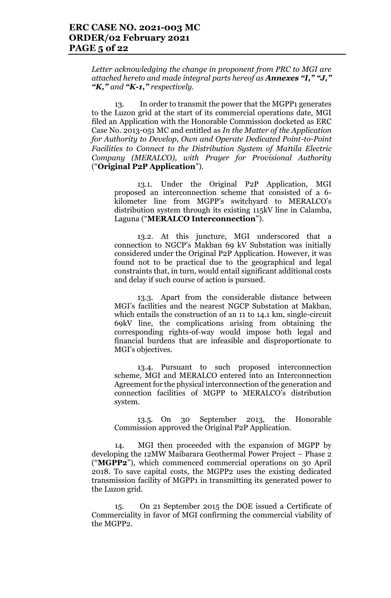*Letter acknowledging the change in proponent from PRC to MGI are attached hereto and made integral parts hereof as Annexes "I," "J," "K," and "K-1," respectively.*

13. In order to transmit the power that the MGPP1 generates to the Luzon grid at the start of its commercial operations date, MGI filed an Application with the Honorable Commission docketed as ERC Case No. 2013-051 MC and entitled as *In the Matter of the Application for Authority to Develop, Own and Operate Dedicated Point-to-Point Facilities to Connect to the Distribution System of Manila Electric Company (MERALCO), with Prayer for Provisional Authority* ("**Original P2P Application**").

13.1. Under the Original P2P Application, MGI proposed an interconnection scheme that consisted of a 6 kilometer line from MGPP's switchyard to MERALCO's distribution system through its existing 115kV line in Calamba, Laguna ("**MERALCO Interconnection**").

13.2. At this juncture, MGI underscored that a connection to NGCP's Makban 69 kV Substation was initially considered under the Original P2P Application. However, it was found not to be practical due to the geographical and legal constraints that, in turn, would entail significant additional costs and delay if such course of action is pursued.

13.3. Apart from the considerable distance between MGI's facilities and the nearest NGCP Substation at Makban, which entails the construction of an 11 to 14.1 km, single-circuit 69kV line, the complications arising from obtaining the corresponding rights-of-way would impose both legal and financial burdens that are infeasible and disproportionate to MGI's objectives.

13.4. Pursuant to such proposed interconnection scheme, MGI and MERALCO entered into an Interconnection Agreement for the physical interconnection of the generation and connection facilities of MGPP to MERALCO's distribution system.

13.5. On 30 September 2013, the Honorable Commission approved the Original P2P Application.

14. MGI then proceeded with the expansion of MGPP by developing the 12MW Maibarara Geothermal Power Project – Phase 2 ("**MGPP2**"), which commenced commercial operations on 30 April 2018. To save capital costs, the MGPP2 uses the existing dedicated transmission facility of MGPP1 in transmitting its generated power to the Luzon grid.

15. On 21 September 2015 the DOE issued a Certificate of Commerciality in favor of MGI confirming the commercial viability of the MGPP2.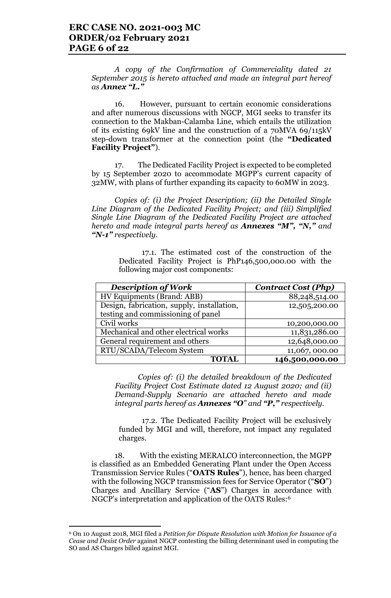*A copy of the Confirmation of Commerciality dated 21 September 2015 is hereto attached and made an integral part hereof as Annex "L."*

16. However, pursuant to certain economic considerations and after numerous discussions with NGCP, MGI seeks to transfer its connection to the Makban-Calamba Line, which entails the utilization of its existing 69kV line and the construction of a 70MVA 69/115kV step-down transformer at the connection point (the **"Dedicated Facility Project"**).

17. The Dedicated Facility Project is expected to be completed by 15 September 2020 to accommodate MGPP's current capacity of 32MW, with plans of further expanding its capacity to 60MW in 2023.

*Copies of: (i) the Project Description; (ii) the Detailed Single Line Diagram of the Dedicated Facility Project; and (iii) Simplified Single Line Diagram of the Dedicated Facility Project are attached hereto and made integral parts hereof as Annexes "M", "N," and "N-1" respectively.* 

> 17.1. The estimated cost of the construction of the Dedicated Facility Project is PhP146,500,000.00 with the following major cost components:

| <b>Description of Work</b>                 | <b>Contract Cost (Php)</b> |
|--------------------------------------------|----------------------------|
| HV Equipments (Brand: ABB)                 | 88,248,514.00              |
| Design, fabrication, supply, installation, | 12,505,200.00              |
| testing and commissioning of panel         |                            |
| Civil works                                | 10,200,000.00              |
| Mechanical and other electrical works      | 11,831,286.00              |
| General requirement and others             | 12,648,000.00              |
| RTU/SCADA/Telecom System                   | 11,067,000.00              |
| <b>TOTAL</b>                               | 146,500,000.00             |

*Copies of: (i) the detailed breakdown of the Dedicated Facility Project Cost Estimate dated 12 August 2020; and (ii) Demand-Supply Scenario are attached hereto and made integral parts hereof as Annexes "O" and "P," respectively.*

17.2. The Dedicated Facility Project will be exclusively funded by MGI and will, therefore, not impact any regulated charges.

18. With the existing MERALCO interconnection, the MGPP is classified as an Embedded Generating Plant under the Open Access Transmission Service Rules ("**OATS Rules**"), hence, has been charged with the following NGCP transmission fees for Service Operator ("**SO**") Charges and Ancillary Service ("**AS**") Charges in accordance with NGCP's interpretation and application of the OATS Rules:<sup>6</sup>

 $\overline{a}$ 

<sup>6</sup> On 10 August 2018, MGI filed a *Petition for Dispute Resolution with Motion for Issuance of a Cease and Desist Order* against NGCP contesting the billing determinant used in computing the SO and AS Charges billed against MGI.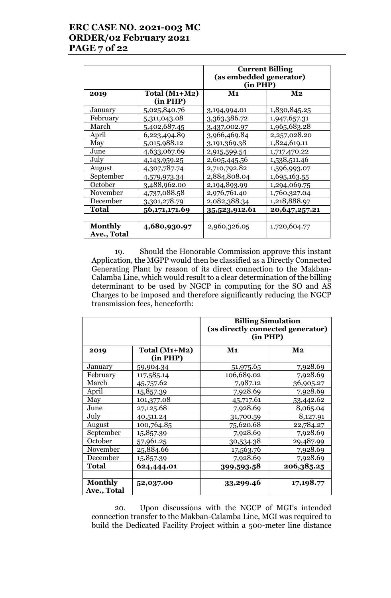# **ERC CASE NO. 2021-003 MC ORDER/02 February 2021 PAGE 7 of 22**

|                               |                             | <b>Current Billing</b><br>(as embedded generator)<br>(in PHP) |                |
|-------------------------------|-----------------------------|---------------------------------------------------------------|----------------|
| 2019                          | Total $(M1+M2)$<br>(in PHP) | $\mathbf{M}\mathbf{1}$                                        | M <sub>2</sub> |
| January                       | 5,025,840.76                | 3,194,994.01                                                  | 1,830,845.25   |
| February                      | 5,311,043.08                | 3,363,386.72                                                  | 1,947,657.31   |
| March                         | 5,402,687.45                | 3,437,002.97                                                  | 1,965,683.28   |
| April                         | 6,223,494.89                | 3,966,469.84                                                  | 2,257,028.20   |
| May                           | 5,015,988.12                | 3,191,369.38                                                  | 1,824,619.11   |
| June                          | 4,633,067.69                | 2,915,599.54                                                  | 1,717,470.22   |
| July                          | 4,143,959.25                | 2,605,445.56                                                  | 1,538,511.46   |
| August                        | 4,307,787.74                | 2,710,792.82                                                  | 1,596,993.07   |
| September                     | 4,579,973.34                | 2,884,808.04                                                  | 1,695,163.55   |
| October                       | 3,488,962.00                | 2,194,893.99                                                  | 1,294,069.75   |
| November                      | 4,737,088.58                | 2,976,761.40                                                  | 1,760,327.04   |
| December                      | 3,301,278.79                | 2,082,388.34                                                  | 1,218,888.97   |
| <b>Total</b>                  | 56, 171, 171.69             | 35,523,912.61                                                 | 20,647,257.21  |
|                               |                             |                                                               |                |
| <b>Monthly</b><br>Ave., Total | 4,680,930.97                | 2,960,326.05                                                  | 1,720,604.77   |

19. Should the Honorable Commission approve this instant Application, the MGPP would then be classified as a Directly Connected Generating Plant by reason of its direct connection to the Makban-Calamba Line, which would result to a clear determination of the billing determinant to be used by NGCP in computing for the SO and AS Charges to be imposed and therefore significantly reducing the NGCP transmission fees, henceforth:

|                               |                             | <b>Billing Simulation</b><br>(as directly connected generator)<br>(in PHP) |               |
|-------------------------------|-----------------------------|----------------------------------------------------------------------------|---------------|
| 2019                          | Total $(M1+M2)$<br>(in PHP) | M <sub>1</sub>                                                             | $\mathbf{M2}$ |
| January                       | 59,904.34                   | 51,975.65                                                                  | 7,928.69      |
| February                      | 117,585.14                  | 106,689.02                                                                 | 7,928.69      |
| March                         | 45,757.62                   | 7,987.12                                                                   | 36,905.27     |
| April                         | 15,857.39                   | 7,928.69                                                                   | 7,928.69      |
| May                           | 101,377.08                  | 45,717.61                                                                  | 53,442.62     |
| June                          | 27,125.68                   | 7,928.69                                                                   | 8,065.04      |
| July                          | 40,511.24                   | 31,700.59                                                                  | 8,127.91      |
| August                        | 100,764.85                  | 75,620.68                                                                  | 22,784.27     |
| September                     | 15,857.39                   | 7,928.69                                                                   | 7,928.69      |
| October                       | 57,961.25                   | 30,534.38                                                                  | 29,487.99     |
| November                      | 25,884.66                   | 17,563.76                                                                  | 7,928.69      |
| December                      | 15,857.39                   | 7,928.69                                                                   | 7,928.69      |
| Total                         | 624,444.01                  | 399,593.58                                                                 | 206,385.25    |
| <b>Monthly</b><br>Ave., Total | 52,037.00                   | 33,299.46                                                                  | 17,198.77     |

20. Upon discussions with the NGCP of MGI's intended connection transfer to the Makban-Calamba Line, MGI was required to build the Dedicated Facility Project within a 500-meter line distance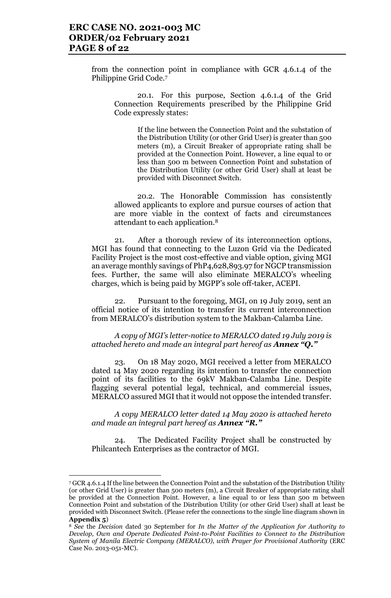from the connection point in compliance with GCR 4.6.1.4 of the Philippine Grid Code.<sup>7</sup>

20.1. For this purpose, Section 4.6.1.4 of the Grid Connection Requirements prescribed by the Philippine Grid Code expressly states:

> If the line between the Connection Point and the substation of the Distribution Utility (or other Grid User) is greater than 500 meters (m), a Circuit Breaker of appropriate rating shall be provided at the Connection Point. However, a line equal to or less than 500 m between Connection Point and substation of the Distribution Utility (or other Grid User) shall at least be provided with Disconnect Switch.

20.2. The Honorable Commission has consistently allowed applicants to explore and pursue courses of action that are more viable in the context of facts and circumstances attendant to each application.<sup>8</sup>

21. After a thorough review of its interconnection options, MGI has found that connecting to the Luzon Grid via the Dedicated Facility Project is the most cost-effective and viable option, giving MGI an average monthly savings of PhP4,628,893.97 for NGCP transmission fees. Further, the same will also eliminate MERALCO's wheeling charges, which is being paid by MGPP's sole off-taker, ACEPI.

Pursuant to the foregoing, MGI, on 19 July 2019, sent an official notice of its intention to transfer its current interconnection from MERALCO's distribution system to the Makban-Calamba Line.

*A copy of MGI's letter-notice to MERALCO dated 19 July 2019 is attached hereto and made an integral part hereof as Annex "Q."*

23. On 18 May 2020, MGI received a letter from MERALCO dated 14 May 2020 regarding its intention to transfer the connection point of its facilities to the 69kV Makban-Calamba Line. Despite flagging several potential legal, technical, and commercial issues, MERALCO assured MGI that it would not oppose the intended transfer.

*A copy MERALCO letter dated 14 May 2020 is attached hereto and made an integral part hereof as Annex "R."*

24. The Dedicated Facility Project shall be constructed by Philcantech Enterprises as the contractor of MGI.

l

<sup>7</sup> GCR 4.6.1.4 If the line between the Connection Point and the substation of the Distribution Utility (or other Grid User) is greater than 500 meters (m), a Circuit Breaker of appropriate rating shall be provided at the Connection Point. However, a line equal to or less than 500 m between Connection Point and substation of the Distribution Utility (or other Grid User) shall at least be provided with Disconnect Switch. (Please refer the connections to the single line diagram shown in **Appendix 5**)

<sup>8</sup> *See* the *Decision* dated 30 September for *In the Matter of the Application for Authority to Develop, Own and Operate Dedicated Point-to-Point Facilities to Connect to the Distribution System of Manila Electric Company (MERALCO), with Prayer for Provisional Authority* (ERC Case No. 2013-051-MC).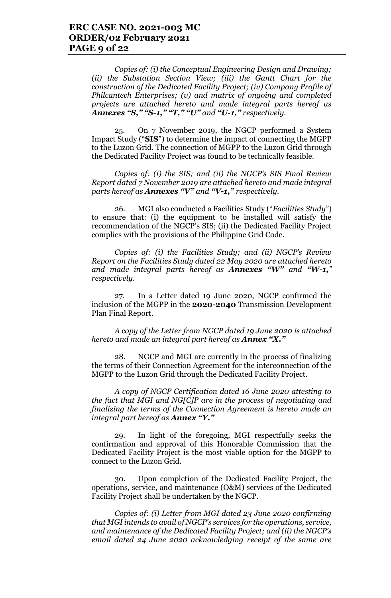*Copies of: (i) the Conceptual Engineering Design and Drawing; (ii) the Substation Section View; (iii) the Gantt Chart for the construction of the Dedicated Facility Project; (iv) Company Profile of Philcantech Enterprises; (v) and matrix of ongoing and completed projects are attached hereto and made integral parts hereof as Annexes "S," "S-1," "T," "U" and "U-1," respectively.*

25. On 7 November 2019, the NGCP performed a System Impact Study ("**SIS**") to determine the impact of connecting the MGPP to the Luzon Grid. The connection of MGPP to the Luzon Grid through the Dedicated Facility Project was found to be technically feasible.

*Copies of: (i) the SIS; and (ii) the NGCP's SIS Final Review Report dated 7 November 2019 are attached hereto and made integral parts hereof as Annexes "V" and "V-1," respectively.* 

26. MGI also conducted a Facilities Study ("*Facilities Study*") to ensure that: (i) the equipment to be installed will satisfy the recommendation of the NGCP's SIS; (ii) the Dedicated Facility Project complies with the provisions of the Philippine Grid Code.

*Copies of: (i) the Facilities Study; and (ii) NGCP's Review Report on the Facilities Study dated 22 May 2020 are attached hereto and made integral parts hereof as Annexes "W" and "W-1," respectively.* 

27. In a Letter dated 19 June 2020, NGCP confirmed the inclusion of the MGPP in the **2020-2040** Transmission Development Plan Final Report.

*A copy of the Letter from NGCP dated 19 June 2020 is attached hereto and made an integral part hereof as Annex "X."*

28. NGCP and MGI are currently in the process of finalizing the terms of their Connection Agreement for the interconnection of the MGPP to the Luzon Grid through the Dedicated Facility Project.

*A copy of NGCP Certification dated 16 June 2020 attesting to the fact that MGI and NG[C]P are in the process of negotiating and finalizing the terms of the Connection Agreement is hereto made an integral part hereof as Annex "Y."*

29. In light of the foregoing, MGI respectfully seeks the confirmation and approval of this Honorable Commission that the Dedicated Facility Project is the most viable option for the MGPP to connect to the Luzon Grid.

30. Upon completion of the Dedicated Facility Project, the operations, service, and maintenance (O&M) services of the Dedicated Facility Project shall be undertaken by the NGCP.

*Copies of: (i) Letter from MGI dated 23 June 2020 confirming that MGI intends to avail of NGCP's services for the operations, service, and maintenance of the Dedicated Facility Project; and (ii) the NGCP's email dated 24 June 2020 acknowledging receipt of the same are*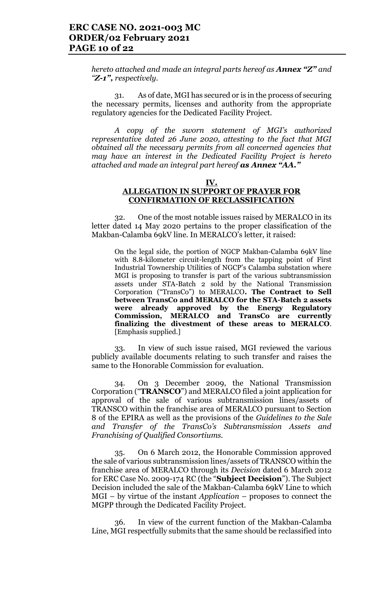*hereto attached and made an integral parts hereof as Annex "Z" and "Z-1", respectively.* 

31. As of date, MGI has secured or is in the process of securing the necessary permits, licenses and authority from the appropriate regulatory agencies for the Dedicated Facility Project.

*A copy of the sworn statement of MGI's authorized representative dated 26 June 2020, attesting to the fact that MGI obtained all the necessary permits from all concerned agencies that may have an interest in the Dedicated Facility Project is hereto attached and made an integral part hereof as Annex "AA."*

#### **IV. ALLEGATION IN SUPPORT OF PRAYER FOR CONFIRMATION OF RECLASSIFICATION**

32. One of the most notable issues raised by MERALCO in its letter dated 14 May 2020 pertains to the proper classification of the Makban-Calamba 69kV line. In MERALCO's letter, it raised:

On the legal side, the portion of NGCP Makban-Calamba 69kV line with 8.8-kilometer circuit-length from the tapping point of First Industrial Townership Utilities of NGCP's Calamba substation where MGI is proposing to transfer is part of the various subtransmission assets under STA-Batch 2 sold by the National Transmission Corporation ("TransCo") to MERALCO**. The Contract to Sell between TransCo and MERALCO for the STA-Batch 2 assets were already approved by the Energy Regulatory Commission, MERALCO and TransCo are currently finalizing the divestment of these areas to MERALCO**. [Emphasis supplied.]

33. In view of such issue raised, MGI reviewed the various publicly available documents relating to such transfer and raises the same to the Honorable Commission for evaluation.

34. On 3 December 2009, the National Transmission Corporation ("**TRANSCO**") and MERALCO filed a joint application for approval of the sale of various subtransmission lines/assets of TRANSCO within the franchise area of MERALCO pursuant to Section 8 of the EPIRA as well as the provisions of the *Guidelines to the Sale and Transfer of the TransCo's Subtransmission Assets and Franchising of Qualified Consortiums.* 

35. On 6 March 2012, the Honorable Commission approved the sale of various subtransmission lines/assets of TRANSCO within the franchise area of MERALCO through its *Decision* dated 6 March 2012 for ERC Case No. 2009-174 RC (the "**Subject Decision**"). The Subject Decision included the sale of the Makban-Calamba 69kV Line to which MGI – by virtue of the instant *Application* – proposes to connect the MGPP through the Dedicated Facility Project.

36. In view of the current function of the Makban-Calamba Line, MGI respectfully submits that the same should be reclassified into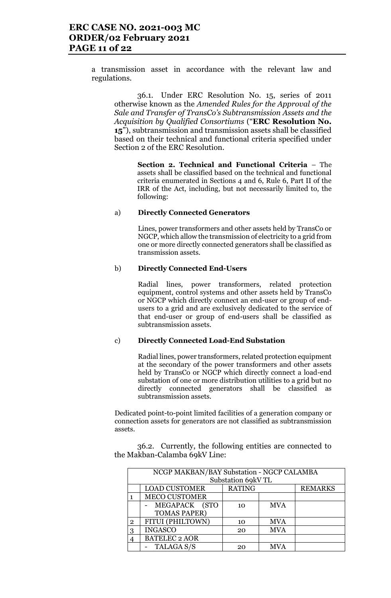a transmission asset in accordance with the relevant law and regulations.

36.1. Under ERC Resolution No. 15, series of 2011 otherwise known as the *Amended Rules for the Approval of the Sale and Transfer of TransCo's Subtransmission Assets and the Acquisition by Qualified Consortiums* ("**ERC Resolution No. 15**"), subtransmission and transmission assets shall be classified based on their technical and functional criteria specified under Section 2 of the ERC Resolution.

> **Section 2. Technical and Functional Criteria** – The assets shall be classified based on the technical and functional criteria enumerated in Sections 4 and 6, Rule 6, Part II of the IRR of the Act, including, but not necessarily limited to, the following:

#### a) **Directly Connected Generators**

Lines, power transformers and other assets held by TransCo or NGCP, which allow the transmission of electricity to a grid from one or more directly connected generators shall be classified as transmission assets.

#### b) **Directly Connected End-Users**

Radial lines, power transformers, related protection equipment, control systems and other assets held by TransCo or NGCP which directly connect an end-user or group of endusers to a grid and are exclusively dedicated to the service of that end-user or group of end-users shall be classified as subtransmission assets.

#### c) **Directly Connected Load-End Substation**

Radial lines, power transformers, related protection equipment at the secondary of the power transformers and other assets held by TransCo or NGCP which directly connect a load-end substation of one or more distribution utilities to a grid but no directly connected generators shall be classified as subtransmission assets.

Dedicated point-to-point limited facilities of a generation company or connection assets for generators are not classified as subtransmission assets.

36.2. Currently, the following entities are connected to the Makban-Calamba 69kV Line:

|                | NCGP MAKBAN/BAY Substation - NGCP CALAMBA |               |            |                |
|----------------|-------------------------------------------|---------------|------------|----------------|
|                | Substation 69kV TL                        |               |            |                |
|                | <b>LOAD CUSTOMER</b>                      | <b>RATING</b> |            | <b>REMARKS</b> |
|                | <b>MECO CUSTOMER</b>                      |               |            |                |
|                | MEGAPACK (STO                             | 10            | <b>MVA</b> |                |
|                | <b>TOMAS PAPER)</b>                       |               |            |                |
| $\overline{2}$ | FITUI (PHILTOWN)                          | 10            | <b>MVA</b> |                |
| 3              | <b>INGASCO</b>                            | 20            | <b>MVA</b> |                |
|                | <b>BATELEC 2 AOR</b>                      |               |            |                |
|                | TALAGA S/S                                | 20            | <b>MVA</b> |                |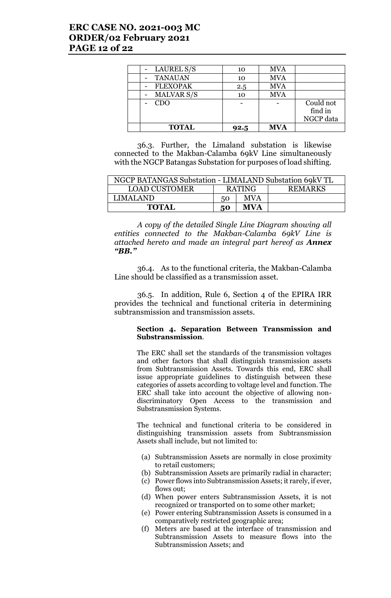## **ERC CASE NO. 2021-003 MC ORDER/02 February 2021 PAGE 12 of 22**

| - LAUREL S/S      | 10   | <b>MVA</b> |           |
|-------------------|------|------------|-----------|
| <b>TANAUAN</b>    | 10   | <b>MVA</b> |           |
| <b>FLEXOPAK</b>   | 2.5  | <b>MVA</b> |           |
| <b>MALVAR S/S</b> | 10   | <b>MVA</b> |           |
| <b>CDO</b>        |      |            | Could not |
|                   |      |            | find in   |
|                   |      |            | NGCP data |
| <b>TOTAL</b>      | 92.5 | <b>MVA</b> |           |

36.3. Further, the Limaland substation is likewise connected to the Makban-Calamba 69kV Line simultaneously with the NGCP Batangas Substation for purposes of load shifting.

| NGCP BATANGAS Substation - LIMALAND Substation 69kV TL |               |            |                |
|--------------------------------------------------------|---------------|------------|----------------|
| <b>LOAD CUSTOMER</b>                                   | <b>RATING</b> |            | <b>REMARKS</b> |
| LIMALAND.                                              | 50            | <b>MVA</b> |                |
| <b>TOTAL</b>                                           | 50            | <b>MVA</b> |                |

*A copy of the detailed Single Line Diagram showing all entities connected to the Makban-Calamba 69kV Line is attached hereto and made an integral part hereof as Annex "BB."*

36.4. As to the functional criteria, the Makban-Calamba Line should be classified as a transmission asset.

36.5. In addition, Rule 6, Section 4 of the EPIRA IRR provides the technical and functional criteria in determining subtransmission and transmission assets.

#### **Section 4. Separation Between Transmission and Substransmission**.

The ERC shall set the standards of the transmission voltages and other factors that shall distinguish transmission assets from Subtransmission Assets. Towards this end, ERC shall issue appropriate guidelines to distinguish between these categories of assets according to voltage level and function. The ERC shall take into account the objective of allowing nondiscriminatory Open Access to the transmission and Substransmission Systems.

The technical and functional criteria to be considered in distinguishing transmission assets from Subtransmission Assets shall include, but not limited to:

- (a) Subtransmission Assets are normally in close proximity to retail customers;
- (b) Subtransmission Assets are primarily radial in character;
- (c) Power flows into Subtransmission Assets; it rarely, if ever, flows out;
- (d) When power enters Subtransmission Assets, it is not recognized or transported on to some other market;
- (e) Power entering Subtransmission Assets is consumed in a comparatively restricted geographic area;
- (f) Meters are based at the interface of transmission and Subtransmission Assets to measure flows into the Subtransmission Assets; and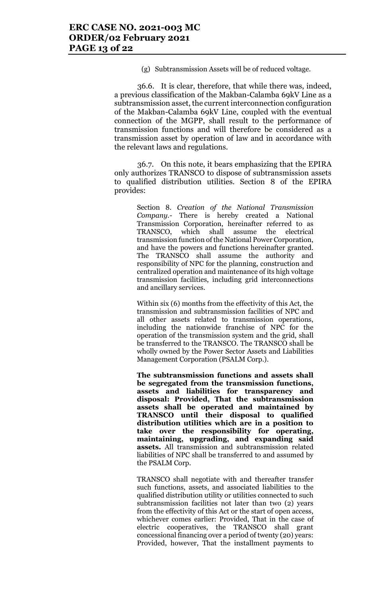(g) Subtransmission Assets will be of reduced voltage.

36.6. It is clear, therefore, that while there was, indeed, a previous classification of the Makban-Calamba 69kV Line as a subtransmission asset, the current interconnection configuration of the Makban-Calamba 69kV Line, coupled with the eventual connection of the MGPP, shall result to the performance of transmission functions and will therefore be considered as a transmission asset by operation of law and in accordance with the relevant laws and regulations.

36.7. On this note, it bears emphasizing that the EPIRA only authorizes TRANSCO to dispose of subtransmission assets to qualified distribution utilities. Section 8 of the EPIRA provides:

> Section 8. *Creation of the National Transmission Company.-* There is hereby created a National Transmission Corporation, hereinafter referred to as TRANSCO, which shall assume the electrical transmission function of the National Power Corporation, and have the powers and functions hereinafter granted. The TRANSCO shall assume the authority and responsibility of NPC for the planning, construction and centralized operation and maintenance of its high voltage transmission facilities, including grid interconnections and ancillary services.

> Within six (6) months from the effectivity of this Act, the transmission and subtransmission facilities of NPC and all other assets related to transmission operations, including the nationwide franchise of NPC for the operation of the transmission system and the grid, shall be transferred to the TRANSCO. The TRANSCO shall be wholly owned by the Power Sector Assets and Liabilities Management Corporation (PSALM Corp.).

> **The subtransmission functions and assets shall be segregated from the transmission functions, assets and liabilities for transparency and disposal: Provided, That the subtransmission assets shall be operated and maintained by TRANSCO until their disposal to qualified distribution utilities which are in a position to take over the responsibility for operating, maintaining, upgrading, and expanding said assets.** All transmission and subtransmission related liabilities of NPC shall be transferred to and assumed by the PSALM Corp.

> TRANSCO shall negotiate with and thereafter transfer such functions, assets, and associated liabilities to the qualified distribution utility or utilities connected to such subtransmission facilities not later than two (2) years from the effectivity of this Act or the start of open access, whichever comes earlier: Provided, That in the case of electric cooperatives, the TRANSCO shall grant concessional financing over a period of twenty (20) years: Provided, however, That the installment payments to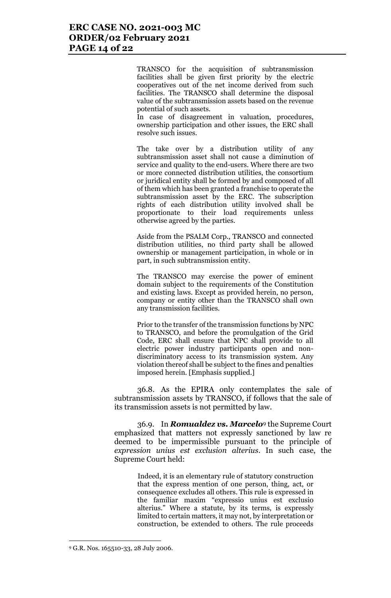TRANSCO for the acquisition of subtransmission facilities shall be given first priority by the electric cooperatives out of the net income derived from such facilities. The TRANSCO shall determine the disposal value of the subtransmission assets based on the revenue potential of such assets.

In case of disagreement in valuation, procedures, ownership participation and other issues, the ERC shall resolve such issues.

The take over by a distribution utility of any subtransmission asset shall not cause a diminution of service and quality to the end-users. Where there are two or more connected distribution utilities, the consortium or juridical entity shall be formed by and composed of all of them which has been granted a franchise to operate the subtransmission asset by the ERC. The subscription rights of each distribution utility involved shall be proportionate to their load requirements unless otherwise agreed by the parties.

Aside from the PSALM Corp., TRANSCO and connected distribution utilities, no third party shall be allowed ownership or management participation, in whole or in part, in such subtransmission entity.

The TRANSCO may exercise the power of eminent domain subject to the requirements of the Constitution and existing laws. Except as provided herein, no person, company or entity other than the TRANSCO shall own any transmission facilities.

Prior to the transfer of the transmission functions by NPC to TRANSCO, and before the promulgation of the Grid Code, ERC shall ensure that NPC shall provide to all electric power industry participants open and nondiscriminatory access to its transmission system. Any violation thereof shall be subject to the fines and penalties imposed herein. [Emphasis supplied.]

36.8. As the EPIRA only contemplates the sale of subtransmission assets by TRANSCO, if follows that the sale of its transmission assets is not permitted by law.

36.9. In *Romualdez vs. Marcelo*<sup>9</sup> the Supreme Court emphasized that matters not expressly sanctioned by law re deemed to be impermissible pursuant to the principle of *expression unius est exclusion alterius*. In such case, the Supreme Court held:

> Indeed, it is an elementary rule of statutory construction that the express mention of one person, thing, act, or consequence excludes all others. This rule is expressed in the familiar maxim "expressio unius est exclusio alterius." Where a statute, by its terms, is expressly limited to certain matters, it may not, by interpretation or construction, be extended to others. The rule proceeds

l

<sup>9</sup> G.R. Nos. 165510-33, 28 July 2006.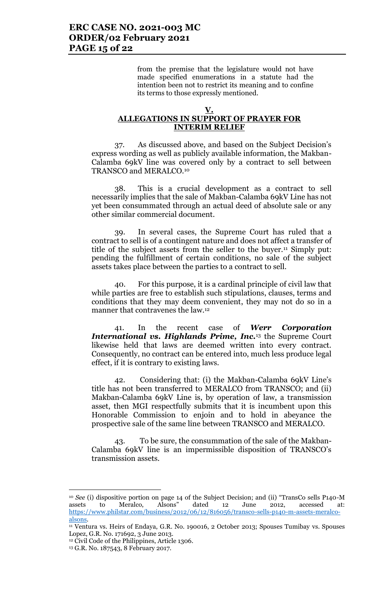from the premise that the legislature would not have made specified enumerations in a statute had the intention been not to restrict its meaning and to confine its terms to those expressly mentioned.

#### **V. ALLEGATIONS IN SUPPORT OF PRAYER FOR INTERIM RELIEF**

37. As discussed above, and based on the Subject Decision's express wording as well as publicly available information, the Makban-Calamba 69kV line was covered only by a contract to sell between TRANSCO and MERALCO.<sup>10</sup>

38. This is a crucial development as a contract to sell necessarily implies that the sale of Makban-Calamba 69kV Line has not yet been consummated through an actual deed of absolute sale or any other similar commercial document.

39. In several cases, the Supreme Court has ruled that a contract to sell is of a contingent nature and does not affect a transfer of title of the subject assets from the seller to the buyer.<sup>11</sup> Simply put: pending the fulfillment of certain conditions, no sale of the subject assets takes place between the parties to a contract to sell.

40. For this purpose, it is a cardinal principle of civil law that while parties are free to establish such stipulations, clauses, terms and conditions that they may deem convenient, they may not do so in a manner that contravenes the law.<sup>12</sup>

41. In the recent case of *Werr Corporation International vs. Highlands Prime, Inc.*<sup>13</sup> the Supreme Court likewise held that laws are deemed written into every contract. Consequently, no contract can be entered into, much less produce legal effect, if it is contrary to existing laws.

42. Considering that: (i) the Makban-Calamba 69kV Line's title has not been transferred to MERALCO from TRANSCO; and (ii) Makban-Calamba 69kV Line is, by operation of law, a transmission asset, then MGI respectfully submits that it is incumbent upon this Honorable Commission to enjoin and to hold in abeyance the prospective sale of the same line between TRANSCO and MERALCO.

43. To be sure, the consummation of the sale of the Makban-Calamba 69kV line is an impermissible disposition of TRANSCO's transmission assets.

<sup>&</sup>lt;sup>10</sup> *See* (i) dispositive portion on page 14 of the Subject Decision; and (ii) "TransCo sells P140-M assets to Meralco, Alsons" dated 12 June 2012, accessed at: assets to Meralco, Alsons" dated 12 June 2012, accessed at: https://www.philstar.com/business/2012/06/12/816056/transco-sells-p140-m-assets-meralcoalsons.

<sup>11</sup> Ventura vs. Heirs of Endaya, G.R. No. 190016, 2 October 2013; Spouses Tumibay vs. Spouses Lopez, G.R. No. 171692, 3 June 2013.

<sup>12</sup> Civil Code of the Philippines, Article 1306.

<sup>13</sup> G.R. No. 187543, 8 February 2017.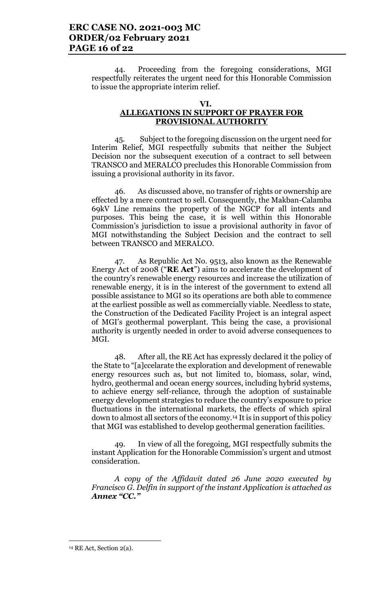44. Proceeding from the foregoing considerations, MGI respectfully reiterates the urgent need for this Honorable Commission to issue the appropriate interim relief.

#### **VI.**

## **ALLEGATIONS IN SUPPORT OF PRAYER FOR PROVISIONAL AUTHORITY**

45. Subject to the foregoing discussion on the urgent need for Interim Relief, MGI respectfully submits that neither the Subject Decision nor the subsequent execution of a contract to sell between TRANSCO and MERALCO precludes this Honorable Commission from issuing a provisional authority in its favor.

46. As discussed above, no transfer of rights or ownership are effected by a mere contract to sell. Consequently, the Makban-Calamba 69kV Line remains the property of the NGCP for all intents and purposes. This being the case, it is well within this Honorable Commission's jurisdiction to issue a provisional authority in favor of MGI notwithstanding the Subject Decision and the contract to sell between TRANSCO and MERALCO.

47. As Republic Act No. 9513, also known as the Renewable Energy Act of 2008 ("**RE Act**") aims to accelerate the development of the country's renewable energy resources and increase the utilization of renewable energy, it is in the interest of the government to extend all possible assistance to MGI so its operations are both able to commence at the earliest possible as well as commercially viable. Needless to state, the Construction of the Dedicated Facility Project is an integral aspect of MGI's geothermal powerplant. This being the case, a provisional authority is urgently needed in order to avoid adverse consequences to MGI.

48. After all, the RE Act has expressly declared it the policy of the State to "[a]ccelarate the exploration and development of renewable energy resources such as, but not limited to, biomass, solar, wind, hydro, geothermal and ocean energy sources, including hybrid systems, to achieve energy self-reliance, through the adoption of sustainable energy development strategies to reduce the country's exposure to price fluctuations in the international markets, the effects of which spiral down to almost all sectors of the economy.<sup>14</sup> It is in support of this policy that MGI was established to develop geothermal generation facilities.

In view of all the foregoing, MGI respectfully submits the instant Application for the Honorable Commission's urgent and utmost consideration.

*A copy of the Affidavit dated 26 June 2020 executed by Francisco G. Delfin in support of the instant Application is attached as Annex "CC."*

l

<sup>14</sup> RE Act, Section 2(a).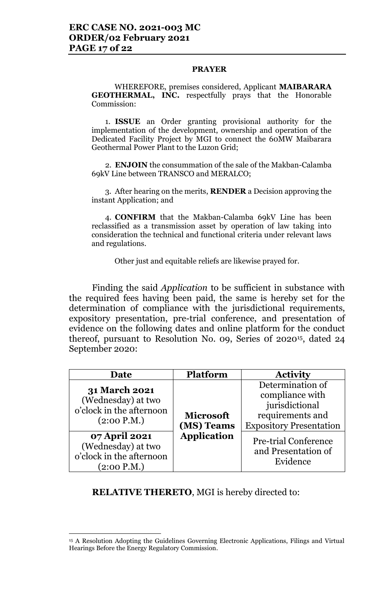### **PRAYER**

WHEREFORE, premises considered, Applicant **MAIBARARA GEOTHERMAL, INC.** respectfully prays that the Honorable Commission:

1. **ISSUE** an Order granting provisional authority for the implementation of the development, ownership and operation of the Dedicated Facility Project by MGI to connect the 60MW Maibarara Geothermal Power Plant to the Luzon Grid;

2. **ENJOIN** the consummation of the sale of the Makban-Calamba 69kV Line between TRANSCO and MERALCO;

3. After hearing on the merits, **RENDER** a Decision approving the instant Application; and

4. **CONFIRM** that the Makban-Calamba 69kV Line has been reclassified as a transmission asset by operation of law taking into consideration the technical and functional criteria under relevant laws and regulations.

Other just and equitable reliefs are likewise prayed for.

Finding the said *Application* to be sufficient in substance with the required fees having been paid, the same is hereby set for the determination of compliance with the jurisdictional requirements, expository presentation, pre-trial conference, and presentation of evidence on the following dates and online platform for the conduct thereof, pursuant to Resolution No. 09, Series 0f 202015, dated 24 September 2020:

| Date                                                                                                                                                                    | <b>Platform</b>                                      | <b>Activity</b>                                                                                                                                                               |
|-------------------------------------------------------------------------------------------------------------------------------------------------------------------------|------------------------------------------------------|-------------------------------------------------------------------------------------------------------------------------------------------------------------------------------|
| <b>31 March 2021</b><br>(Wednesday) at two<br>o'clock in the afternoon<br>(2:00 P.M.)<br>07 April 2021<br>(Wednesday) at two<br>o'clock in the afternoon<br>(2:00 P.M.) | <b>Microsoft</b><br>(MS) Teams<br><b>Application</b> | Determination of<br>compliance with<br>jurisdictional<br>requirements and<br><b>Expository Presentation</b><br><b>Pre-trial Conference</b><br>and Presentation of<br>Evidence |

**RELATIVE THERETO**, MGI is hereby directed to:

<sup>&</sup>lt;sup>15</sup> A Resolution Adopting the Guidelines Governing Electronic Applications, Filings and Virtual Hearings Before the Energy Regulatory Commission.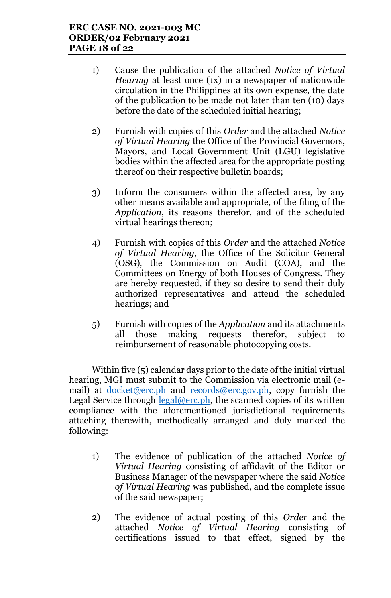- 1) Cause the publication of the attached *Notice of Virtual Hearing* at least once (1x) in a newspaper of nationwide circulation in the Philippines at its own expense, the date of the publication to be made not later than ten (10) days before the date of the scheduled initial hearing;
- 2) Furnish with copies of this *Order* and the attached *Notice of Virtual Hearing* the Office of the Provincial Governors, Mayors, and Local Government Unit (LGU) legislative bodies within the affected area for the appropriate posting thereof on their respective bulletin boards;
- 3) Inform the consumers within the affected area, by any other means available and appropriate, of the filing of the *Application*, its reasons therefor, and of the scheduled virtual hearings thereon;
- 4) Furnish with copies of this *Order* and the attached *Notice of Virtual Hearing*, the Office of the Solicitor General (OSG), the Commission on Audit (COA), and the Committees on Energy of both Houses of Congress. They are hereby requested, if they so desire to send their duly authorized representatives and attend the scheduled hearings; and
- 5) Furnish with copies of the *Application* and its attachments all those making requests therefor, subject to reimbursement of reasonable photocopying costs.

Within five (5) calendar days prior to the date of the initial virtual hearing, MGI must submit to the Commission via electronic mail (email) at docket@erc.ph and records@erc.gov.ph, copy furnish the Legal Service through  $\text{legal@erc.ph}$ , the scanned copies of its written compliance with the aforementioned jurisdictional requirements attaching therewith, methodically arranged and duly marked the following:

- 1) The evidence of publication of the attached *Notice of Virtual Hearing* consisting of affidavit of the Editor or Business Manager of the newspaper where the said *Notice of Virtual Hearing* was published, and the complete issue of the said newspaper;
- 2) The evidence of actual posting of this *Order* and the attached *Notice of Virtual Hearing* consisting of certifications issued to that effect, signed by the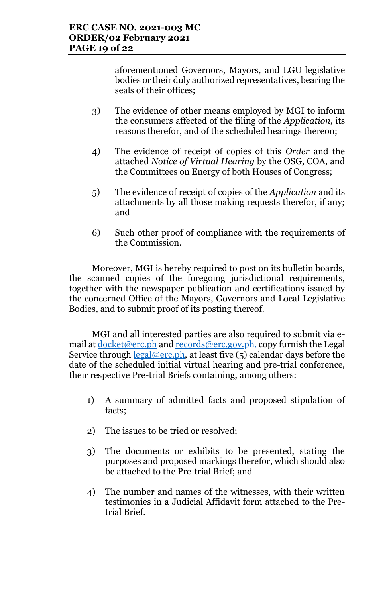aforementioned Governors, Mayors, and LGU legislative bodies or their duly authorized representatives, bearing the seals of their offices;

- 3) The evidence of other means employed by MGI to inform the consumers affected of the filing of the *Application,* its reasons therefor, and of the scheduled hearings thereon;
- 4) The evidence of receipt of copies of this *Order* and the attached *Notice of Virtual Hearing* by the OSG, COA, and the Committees on Energy of both Houses of Congress;
- 5) The evidence of receipt of copies of the *Application* and its attachments by all those making requests therefor, if any; and
- 6) Such other proof of compliance with the requirements of the Commission.

Moreover, MGI is hereby required to post on its bulletin boards, the scanned copies of the foregoing jurisdictional requirements, together with the newspaper publication and certifications issued by the concerned Office of the Mayors, Governors and Local Legislative Bodies, and to submit proof of its posting thereof.

MGI and all interested parties are also required to submit via email at docket@erc.ph and records@erc.gov.ph, copy furnish the Legal Service through  $\text{legal@erc.ph.}$  at least five (5) calendar days before the date of the scheduled initial virtual hearing and pre-trial conference, their respective Pre-trial Briefs containing, among others:

- 1) A summary of admitted facts and proposed stipulation of facts;
- 2) The issues to be tried or resolved;
- 3) The documents or exhibits to be presented, stating the purposes and proposed markings therefor, which should also be attached to the Pre-trial Brief; and
- 4) The number and names of the witnesses, with their written testimonies in a Judicial Affidavit form attached to the Pretrial Brief.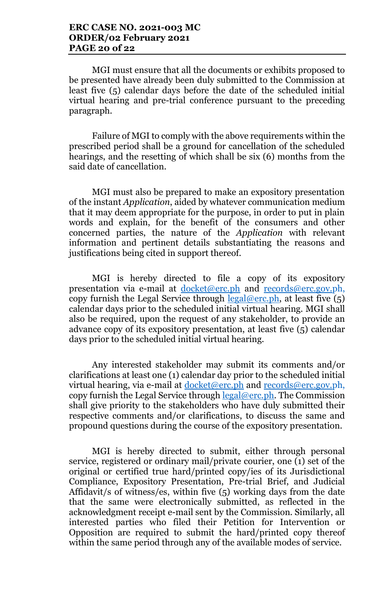MGI must ensure that all the documents or exhibits proposed to be presented have already been duly submitted to the Commission at least five (5) calendar days before the date of the scheduled initial virtual hearing and pre-trial conference pursuant to the preceding paragraph.

Failure of MGI to comply with the above requirements within the prescribed period shall be a ground for cancellation of the scheduled hearings, and the resetting of which shall be six (6) months from the said date of cancellation.

MGI must also be prepared to make an expository presentation of the instant *Application*, aided by whatever communication medium that it may deem appropriate for the purpose, in order to put in plain words and explain, for the benefit of the consumers and other concerned parties, the nature of the *Application* with relevant information and pertinent details substantiating the reasons and justifications being cited in support thereof.

MGI is hereby directed to file a copy of its expository presentation via e-mail at docket@erc.ph and records@erc.gov.ph, copy furnish the Legal Service through  $\frac{\text{legal@erc.ph}}{\text{legal@erc.ph}}$ , at least five  $(5)$ calendar days prior to the scheduled initial virtual hearing. MGI shall also be required, upon the request of any stakeholder, to provide an advance copy of its expository presentation, at least five (5) calendar days prior to the scheduled initial virtual hearing.

Any interested stakeholder may submit its comments and/or clarifications at least one (1) calendar day prior to the scheduled initial virtual hearing, via e-mail at <u>docket@erc.ph</u> and records@erc.gov.ph, copy furnish the Legal Service through  $\text{legal@erc.ph.}$  The Commission shall give priority to the stakeholders who have duly submitted their respective comments and/or clarifications, to discuss the same and propound questions during the course of the expository presentation.

MGI is hereby directed to submit, either through personal service, registered or ordinary mail/private courier, one (1) set of the original or certified true hard/printed copy/ies of its Jurisdictional Compliance, Expository Presentation, Pre-trial Brief, and Judicial Affidavit/s of witness/es, within five (5) working days from the date that the same were electronically submitted, as reflected in the acknowledgment receipt e-mail sent by the Commission. Similarly, all interested parties who filed their Petition for Intervention or Opposition are required to submit the hard/printed copy thereof within the same period through any of the available modes of service.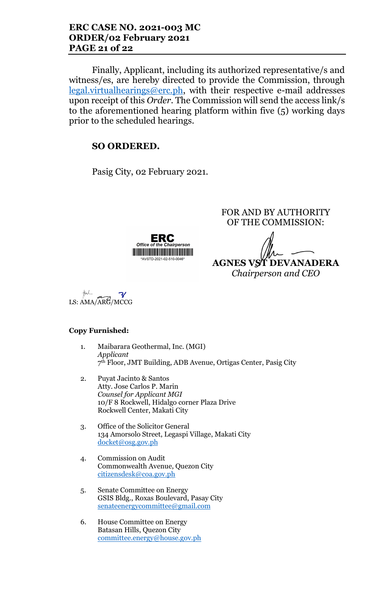Finally, Applicant, including its authorized representative/s and witness/es, are hereby directed to provide the Commission, through  $legal.virtualhearings@erc.ph,$  with their respective e-mail addresses upon receipt of this *Order*. The Commission will send the access link/s to the aforementioned hearing platform within five (5) working days prior to the scheduled hearings.

## **SO ORDERED.**

Pasig City, 02 February 2021.



FOR AND BY AUTHORITY OF THE COMMISSION:

**AGNES VST DEVANADERA** *Chairperson and CEO*

 $\boldsymbol{\mathcal{V}}$ LS: AMA/ARG/MCCG

### **Copy Furnished:**

- 1. Maibarara Geothermal, Inc. (MGI) *Applicant* 7 th Floor, JMT Building, ADB Avenue, Ortigas Center, Pasig City
- 2. Puyat Jacinto & Santos Atty. Jose Carlos P. Marin *Counsel for Applicant MGI* 10/F 8 Rockwell, Hidalgo corner Plaza Drive Rockwell Center, Makati City
- 3. Office of the Solicitor General 134 Amorsolo Street, Legaspi Village, Makati City docket@osg.gov.ph
- 4. Commission on Audit Commonwealth Avenue, Quezon City citizensdesk@coa.gov.ph
- 5. Senate Committee on Energy GSIS Bldg., Roxas Boulevard, Pasay City senateenergycommittee@gmail.com
- 6. House Committee on Energy Batasan Hills, Quezon City committee.energy@house.gov.ph